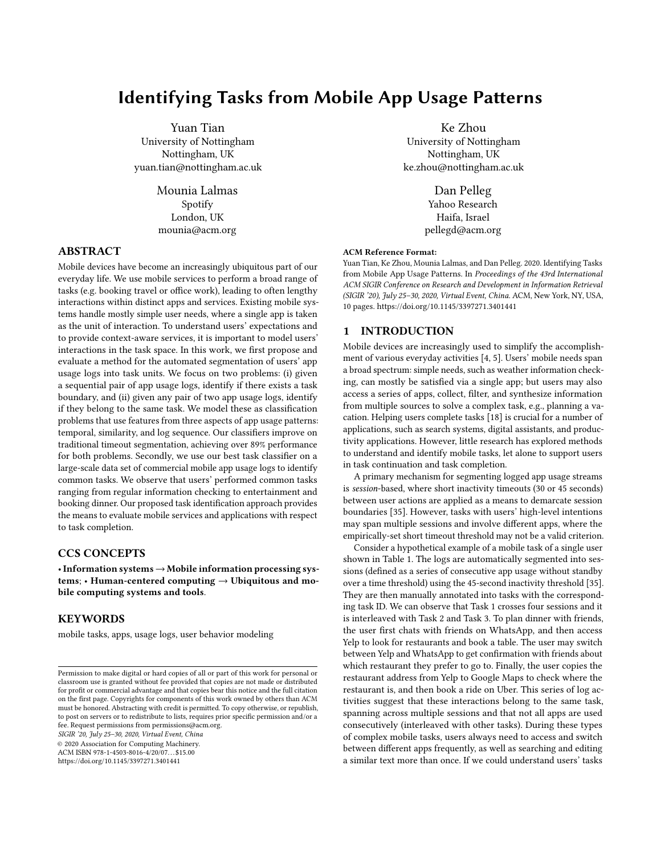# Identifying Tasks from Mobile App Usage Patterns

Yuan Tian University of Nottingham Nottingham, UK yuan.tian@nottingham.ac.uk

> Mounia Lalmas Spotify London, UK mounia@acm.org

## ABSTRACT

Mobile devices have become an increasingly ubiquitous part of our everyday life. We use mobile services to perform a broad range of tasks (e.g. booking travel or office work), leading to often lengthy interactions within distinct apps and services. Existing mobile systems handle mostly simple user needs, where a single app is taken as the unit of interaction. To understand users' expectations and to provide context-aware services, it is important to model users' interactions in the task space. In this work, we first propose and evaluate a method for the automated segmentation of users' app usage logs into task units. We focus on two problems: (i) given a sequential pair of app usage logs, identify if there exists a task boundary, and (ii) given any pair of two app usage logs, identify if they belong to the same task. We model these as classification problems that use features from three aspects of app usage patterns: temporal, similarity, and log sequence. Our classifiers improve on traditional timeout segmentation, achieving over 89% performance for both problems. Secondly, we use our best task classifier on a large-scale data set of commercial mobile app usage logs to identify common tasks. We observe that users' performed common tasks ranging from regular information checking to entertainment and booking dinner. Our proposed task identification approach provides the means to evaluate mobile services and applications with respect to task completion.

## CCS CONCEPTS

•Information systems→Mobile information processing systems; • Human-centered computing  $\rightarrow$  Ubiquitous and mobile computing systems and tools.

## **KEYWORDS**

mobile tasks, apps, usage logs, user behavior modeling

SIGIR '20, July 25–30, 2020, Virtual Event, China

© 2020 Association for Computing Machinery.

ACM ISBN 978-1-4503-8016-4/20/07. . . \$15.00

<https://doi.org/10.1145/3397271.3401441>

Ke Zhou University of Nottingham Nottingham, UK ke.zhou@nottingham.ac.uk

> Dan Pelleg Yahoo Research Haifa, Israel pellegd@acm.org

#### ACM Reference Format:

Yuan Tian, Ke Zhou, Mounia Lalmas, and Dan Pelleg. 2020. Identifying Tasks from Mobile App Usage Patterns. In Proceedings of the 43rd International ACM SIGIR Conference on Research and Development in Information Retrieval (SIGIR '20), July 25–30, 2020, Virtual Event, China. ACM, New York, NY, USA, [10](#page-9-0) pages.<https://doi.org/10.1145/3397271.3401441>

### 1 INTRODUCTION

Mobile devices are increasingly used to simplify the accomplishment of various everyday activities [\[4,](#page-9-1) [5\]](#page-9-2). Users' mobile needs span a broad spectrum: simple needs, such as weather information checking, can mostly be satisfied via a single app; but users may also access a series of apps, collect, filter, and synthesize information from multiple sources to solve a complex task, e.g., planning a vacation. Helping users complete tasks [\[18\]](#page-9-3) is crucial for a number of applications, such as search systems, digital assistants, and productivity applications. However, little research has explored methods to understand and identify mobile tasks, let alone to support users in task continuation and task completion.

A primary mechanism for segmenting logged app usage streams is session-based, where short inactivity timeouts (30 or 45 seconds) between user actions are applied as a means to demarcate session boundaries [\[35\]](#page-9-4). However, tasks with users' high-level intentions may span multiple sessions and involve different apps, where the empirically-set short timeout threshold may not be a valid criterion.

Consider a hypothetical example of a mobile task of a single user shown in Table [1.](#page-1-0) The logs are automatically segmented into sessions (defined as a series of consecutive app usage without standby over a time threshold) using the 45-second inactivity threshold [\[35\]](#page-9-4). They are then manually annotated into tasks with the corresponding task ID. We can observe that Task 1 crosses four sessions and it is interleaved with Task 2 and Task 3. To plan dinner with friends, the user first chats with friends on WhatsApp, and then access Yelp to look for restaurants and book a table. The user may switch between Yelp and WhatsApp to get confirmation with friends about which restaurant they prefer to go to. Finally, the user copies the restaurant address from Yelp to Google Maps to check where the restaurant is, and then book a ride on Uber. This series of log activities suggest that these interactions belong to the same task, spanning across multiple sessions and that not all apps are used consecutively (interleaved with other tasks). During these types of complex mobile tasks, users always need to access and switch between different apps frequently, as well as searching and editing a similar text more than once. If we could understand users' tasks

Permission to make digital or hard copies of all or part of this work for personal or classroom use is granted without fee provided that copies are not made or distributed for profit or commercial advantage and that copies bear this notice and the full citation on the first page. Copyrights for components of this work owned by others than ACM must be honored. Abstracting with credit is permitted. To copy otherwise, or republish, to post on servers or to redistribute to lists, requires prior specific permission and/or a fee. Request permissions from permissions@acm.org.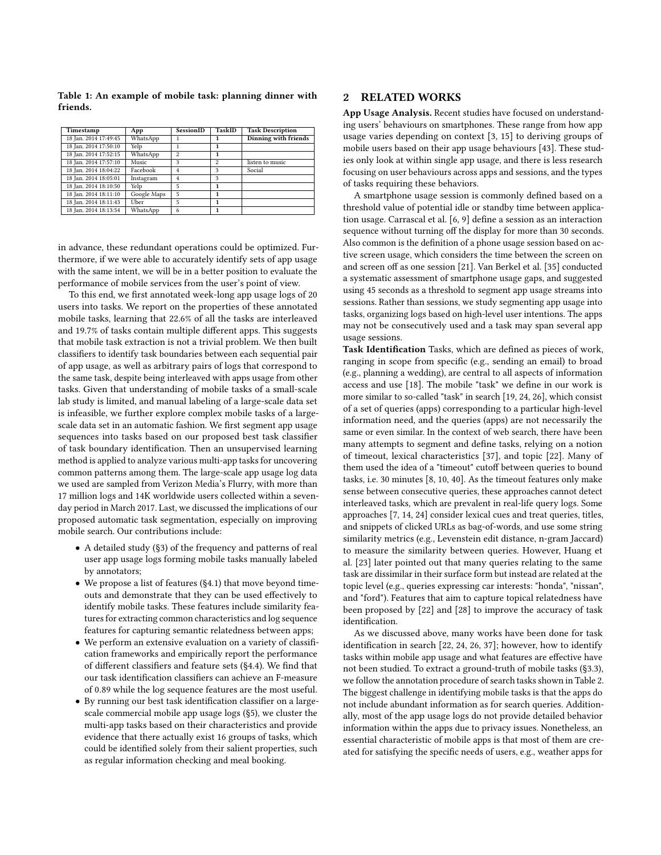| Timestamp             | App         | SessionID               | TaskID | <b>Task Description</b> |
|-----------------------|-------------|-------------------------|--------|-------------------------|
| 18 Jan. 2014 17:49:45 | WhatsApp    |                         |        | Dinning with friends    |
| 18 Jan. 2014 17:50:10 | Yelp        |                         |        |                         |
| 18 Jan. 2014 17:52:15 | WhatsApp    | $\overline{\mathbf{c}}$ | 1      |                         |
| 18 Jan. 2014 17:57:10 | Music       | ٩                       | 2      | listen to music         |
| 18 Jan. 2014 18:04:22 | Facebook    | 4                       | 3      | Social                  |
| 18 Jan. 2014 18:05:01 | Instagram   | 4                       | 3      |                         |
| 18 Jan. 2014 18:10:50 | Yelp        | 5                       | 1      |                         |
| 18 Jan. 2014 18:11:10 | Google Maps | 5                       |        |                         |
| 18 Jan. 2014 18:11:43 | Uber        | 5                       | 1      |                         |
| 18 Jan. 2014 18:13:54 | WhatsApp    | 6                       |        |                         |

<span id="page-1-0"></span>Table 1: An example of mobile task: planning dinner with friends.

in advance, these redundant operations could be optimized. Furthermore, if we were able to accurately identify sets of app usage with the same intent, we will be in a better position to evaluate the performance of mobile services from the user's point of view.

To this end, we first annotated week-long app usage logs of 20 users into tasks. We report on the properties of these annotated mobile tasks, learning that 22.6% of all the tasks are interleaved and 19.7% of tasks contain multiple different apps. This suggests that mobile task extraction is not a trivial problem. We then built classifiers to identify task boundaries between each sequential pair of app usage, as well as arbitrary pairs of logs that correspond to the same task, despite being interleaved with apps usage from other tasks. Given that understanding of mobile tasks of a small-scale lab study is limited, and manual labeling of a large-scale data set is infeasible, we further explore complex mobile tasks of a largescale data set in an automatic fashion. We first segment app usage sequences into tasks based on our proposed best task classifier of task boundary identification. Then an unsupervised learning method is applied to analyze various multi-app tasks for uncovering common patterns among them. The large-scale app usage log data we used are sampled from Verizon Media's Flurry, with more than 17 million logs and 14K worldwide users collected within a sevenday period in March 2017. Last, we discussed the implications of our proposed automatic task segmentation, especially on improving mobile search. Our contributions include:

- A detailed study (§3) of the frequency and patterns of real user app usage logs forming mobile tasks manually labeled by annotators;
- We propose a list of features (§4.1) that move beyond timeouts and demonstrate that they can be used effectively to identify mobile tasks. These features include similarity features for extracting common characteristics and log sequence features for capturing semantic relatedness between apps;
- We perform an extensive evaluation on a variety of classification frameworks and empirically report the performance of different classifiers and feature sets (§4.4). We find that our task identification classifiers can achieve an F-measure of 0.89 while the log sequence features are the most useful.
- By running our best task identification classifier on a largescale commercial mobile app usage logs (§5), we cluster the multi-app tasks based on their characteristics and provide evidence that there actually exist 16 groups of tasks, which could be identified solely from their salient properties, such as regular information checking and meal booking.

# 2 RELATED WORKS

App Usage Analysis. Recent studies have focused on understanding users' behaviours on smartphones. These range from how app usage varies depending on context [\[3,](#page-9-5) [15\]](#page-9-6) to deriving groups of mobile users based on their app usage behaviours [\[43\]](#page-9-7). These studies only look at within single app usage, and there is less research focusing on user behaviours across apps and sessions, and the types of tasks requiring these behaviors.

A smartphone usage session is commonly defined based on a threshold value of potential idle or standby time between application usage. Carrascal et al. [\[6,](#page-9-8) [9\]](#page-9-9) define a session as an interaction sequence without turning off the display for more than 30 seconds. Also common is the definition of a phone usage session based on active screen usage, which considers the time between the screen on and screen off as one session [\[21\]](#page-9-10). Van Berkel et al. [\[35\]](#page-9-4) conducted a systematic assessment of smartphone usage gaps, and suggested using 45 seconds as a threshold to segment app usage streams into sessions. Rather than sessions, we study segmenting app usage into tasks, organizing logs based on high-level user intentions. The apps may not be consecutively used and a task may span several app usage sessions.

Task Identification Tasks, which are defined as pieces of work, ranging in scope from specific (e.g., sending an email) to broad (e.g., planning a wedding), are central to all aspects of information access and use [\[18\]](#page-9-3). The mobile "task" we define in our work is more similar to so-called "task" in search [\[19,](#page-9-11) [24,](#page-9-12) [26\]](#page-9-13), which consist of a set of queries (apps) corresponding to a particular high-level information need, and the queries (apps) are not necessarily the same or even similar. In the context of web search, there have been many attempts to segment and define tasks, relying on a notion of timeout, lexical characteristics [\[37\]](#page-9-14), and topic [\[22\]](#page-9-15). Many of them used the idea of a "timeout" cutoff between queries to bound tasks, i.e. 30 minutes [\[8,](#page-9-16) [10,](#page-9-17) [40\]](#page-9-18). As the timeout features only make sense between consecutive queries, these approaches cannot detect interleaved tasks, which are prevalent in real-life query logs. Some approaches [\[7,](#page-9-19) [14,](#page-9-20) [24\]](#page-9-12) consider lexical cues and treat queries, titles, and snippets of clicked URLs as bag-of-words, and use some string similarity metrics (e.g., Levenstein edit distance, n-gram Jaccard) to measure the similarity between queries. However, Huang et al. [\[23\]](#page-9-21) later pointed out that many queries relating to the same task are dissimilar in their surface form but instead are related at the topic level (e.g., queries expressing car interests: "honda", "nissan", and "ford"). Features that aim to capture topical relatedness have been proposed by [\[22\]](#page-9-15) and [\[28\]](#page-9-22) to improve the accuracy of task identification.

As we discussed above, many works have been done for task identification in search [\[22,](#page-9-15) [24,](#page-9-12) [26,](#page-9-13) [37\]](#page-9-14); however, how to identify tasks within mobile app usage and what features are effective have not been studied. To extract a ground-truth of mobile tasks (§3.3), we follow the annotation procedure of search tasks shown in Table [2.](#page-2-0) The biggest challenge in identifying mobile tasks is that the apps do not include abundant information as for search queries. Additionally, most of the app usage logs do not provide detailed behavior information within the apps due to privacy issues. Nonetheless, an essential characteristic of mobile apps is that most of them are created for satisfying the specific needs of users, e.g., weather apps for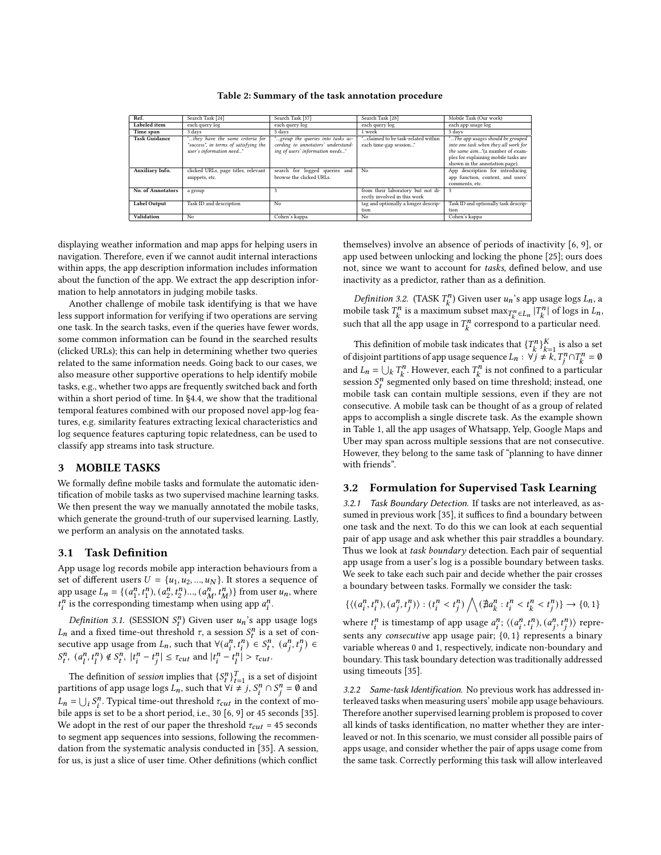<span id="page-2-0"></span>

| Ref.                 | Search Task [24]                      | Search Task [37]                   | Search Task [28]                     | Mobile Task (Our work)               |
|----------------------|---------------------------------------|------------------------------------|--------------------------------------|--------------------------------------|
| Labeled item         | each query log                        | each query log                     | each query log                       | each app usage log                   |
| Time span            | 3 days                                | 5 days                             | 1 week                               | 5 days                               |
| <b>Task Guidance</b> | "they have the same criteria for      | "group the queries into tasks ac-  | delaimed to be task-related within." | "The app usages should be grouped    |
|                      | "success", in terms of satisfying the | cording to annotators' understand- | each time-gap session"               | into one task when they all work for |
|                      | user's information need"              | ing of users' information needs"   |                                      | the same aim"(a number of exam-      |
|                      |                                       |                                    |                                      | ples for explaining mobile tasks are |
|                      |                                       |                                    |                                      | shown in the annotation page).       |
| Auxiliary Info.      | clicked URLs, page titles, relevant   | search for logged queries and      | No                                   | App description for introducing      |
|                      | snippets, etc.                        | browse the clicked URLs.           |                                      | app function, content, and users'    |
|                      |                                       |                                    |                                      | comments, etc.                       |
| No. of Annotators    | a group                               | 3                                  | from their laboratory but not di-    | 3                                    |
|                      |                                       |                                    | rectly involved in this work         |                                      |
| <b>Label Output</b>  | Task ID and description               | No                                 | tag and optionally a longer descrip- | Task ID and optionally task descrip- |
|                      |                                       |                                    | tion                                 | tion                                 |
| Validation           | N <sub>0</sub>                        | Cohen's kappa                      | No                                   | Cohen's kappa                        |

Table 2: Summary of the task annotation procedure

displaying weather information and map apps for helping users in navigation. Therefore, even if we cannot audit internal interactions within apps, the app description information includes information about the function of the app. We extract the app description information to help annotators in judging mobile tasks.

Another challenge of mobile task identifying is that we have less support information for verifying if two operations are serving one task. In the search tasks, even if the queries have fewer words, some common information can be found in the searched results (clicked URLs); this can help in determining whether two queries related to the same information needs. Going back to our cases, we also measure other supportive operations to help identify mobile tasks, e.g., whether two apps are frequently switched back and forth within a short period of time. In §4.4, we show that the traditional temporal features combined with our proposed novel app-log features, e.g. similarity features extracting lexical characteristics and log sequence features capturing topic relatedness, can be used to classify app streams into task structure.

### 3 MOBILE TASKS

We formally define mobile tasks and formulate the automatic identification of mobile tasks as two supervised machine learning tasks. We then present the way we manually annotated the mobile tasks, which generate the ground-truth of our supervised learning. Lastly, we perform an analysis on the annotated tasks.

## 3.1 Task Definition

App usage log records mobile app interaction behaviours from a set of different users  $U = \{u_1, u_2, ..., u_N\}$ . It stores a sequence of app usage  $L_n = \{(a_1^n)\}$  $\binom{n}{1}, t_1^n$ ,  $\binom{n}{2}$  $\left\{ \frac{n}{2}, \frac{n}{2}, \frac{n}{2}\right\} \ldots \left( a_{M}^{n}, \frac{n}{M}\right) \}$  from user  $u_n$ , where  $t_i^n$  is the corresponding timestamp when using app  $a_i^n$ .

Definition 3.1. (SESSION  $S_t^n$ ) Given user  $u_n$ 's app usage logs  $L_n$  and a fixed time-out threshold  $\tau$ , a session  $S_t^n$  is a set of consecutive app usage from  $L_n$ , such that  $\forall (a_i^n, t_i^n) \in S_i^n$ ,  $(a_i^n, t_i^n) \in$  $S_t^n$ ,  $(a_l^n, t_l^n) \notin S_t^n$ ,  $|t_i^n - t_j^n| \leq \tau_{cut}$  and  $|t_i^n - t_l^n| > \tau_{cut}$ .

The definition of *session* implies that  $\{S_t^n\}_{t=1}^T$  is a set of disjoint partitions of app usage logs  $L_n$ , such that  $\forall i \neq j$ ,  $S_i^n \cap S_j^n = \emptyset$  and  $L_n = \bigcup_i S_i^n$ . Typical time-out threshold  $\tau_{cut}$  in the context of mo-bile apps is set to be a short period, i.e., 30 [\[6,](#page-9-8) [9\]](#page-9-9) or 45 seconds [\[35\]](#page-9-4). We adopt in the rest of our paper the threshold  $\tau_{cut}$  = 45 seconds to segment app sequences into sessions, following the recommendation from the systematic analysis conducted in [\[35\]](#page-9-4). A session, for us, is just a slice of user time. Other definitions (which conflict

themselves) involve an absence of periods of inactivity [\[6,](#page-9-8) [9\]](#page-9-9), or app used between unlocking and locking the phone [\[25\]](#page-9-23); ours does not, since we want to account for tasks, defined below, and use inactivity as a predictor, rather than as a definition.

*Definition 3.2.* (TASK  $T_k^n$ ) Given user  $u_n$ 's app usage logs  $L_n$ , a mobile task  $T_k^n$  is a maximum subset  $\max_{T_k^n \in L_n} |T_k^n|$  of logs in  $L_n$ , such that all the app usage in  $T_k^n$  correspond to a particular need.

This definition of mobile task indicates that  $\{T_k^n\}_{k=1}^K$  is also a set of disjoint partitions of app usage sequence  $L_n$  :  $\forall j \neq k, T_j^n \cap T_k^n = \emptyset$ and  $L_n = \bigcup_k T_k^n$ . However, each  $T_k^n$  is not confined to a particular session  $S_t^n$  segmented only based on time threshold; instead, one mobile task can contain multiple sessions, even if they are not consecutive. A mobile task can be thought of as a group of related apps to accomplish a single discrete task. As the example shown in Table [1,](#page-1-0) all the app usages of Whatsapp, Yelp, Google Maps and Uber may span across multiple sessions that are not consecutive. However, they belong to the same task of "planning to have dinner with friends".

## 3.2 Formulation for Supervised Task Learning

3.2.1 Task Boundary Detection. If tasks are not interleaved, as assumed in previous work [\[35\]](#page-9-4), it suffices to find a boundary between one task and the next. To do this we can look at each sequential pair of app usage and ask whether this pair straddles a boundary. Thus we look at task boundary detection. Each pair of sequential app usage from a user's log is a possible boundary between tasks. We seek to take each such pair and decide whether the pair crosses a boundary between tasks. Formally we consider the task:

$$
\{\langle (a_i^n,t_i^n),(a_j^n,t_j^n)\rangle: (t_i^n
$$

where  $t_i^n$  is timestamp of app usage  $a_i^n$ ;  $\langle (a_i^n, t_i^n), (a_i^n, t_i^n) \rangle$  represents any consecutive app usage pair; {0, 1} represents a binary variable whereas 0 and 1, respectively, indicate non-boundary and boundary. This task boundary detection was traditionally addressed using timeouts [\[35\]](#page-9-4).

3.2.2 Same-task Identification. No previous work has addressed interleaved tasks when measuring users' mobile app usage behaviours. Therefore another supervised learning problem is proposed to cover all kinds of tasks identification, no matter whether they are interleaved or not. In this scenario, we must consider all possible pairs of apps usage, and consider whether the pair of apps usage come from the same task. Correctly performing this task will allow interleaved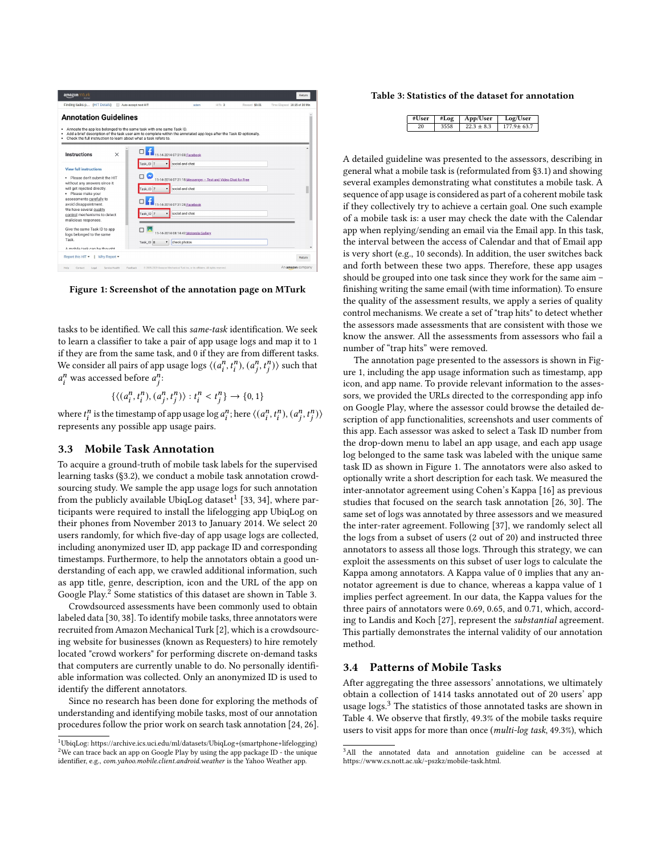<span id="page-3-3"></span>

Figure 1: Screenshot of the annotation page on MTurk

tasks to be identified. We call this same-task identification. We seek to learn a classifier to take a pair of app usage logs and map it to 1 if they are from the same task, and 0 if they are from different tasks. We consider all pairs of app usage logs  $\langle a_i^n, t_i^n \rangle$ ,  $(a_i^n, t_i^n \rangle$  such that  $a_i^n$  was accessed before  $a_i^n$ .

 $\{\langle (a_i^n, t_i^n), (a_i^n, t_i^n) \rangle : t_i^n < t_i^n \} \rightarrow \{0, 1\}$ 

where  $t_i^n$  is the timestamp of app usage  $\log a_i^n$ ; here  $\langle (a_i^n, t_i^n), (a_i^n, t_i^n) \rangle$ represents any possible app usage pairs.

#### 3.3 Mobile Task Annotation

To acquire a ground-truth of mobile task labels for the supervised learning tasks (§3.2), we conduct a mobile task annotation crowdsourcing study. We sample the app usage logs for such annotation from the publicly available UbiqLog dataset $^1$  $^1$  [\[33,](#page-9-24) [34\]](#page-9-25), where participants were required to install the lifelogging app UbiqLog on their phones from November 2013 to January 2014. We select 20 users randomly, for which five-day of app usage logs are collected, including anonymized user ID, app package ID and corresponding timestamps. Furthermore, to help the annotators obtain a good understanding of each app, we crawled additional information, such as app title, genre, description, icon and the URL of the app on Google Play.<sup>[2](#page-3-1)</sup> Some statistics of this dataset are shown in Table [3.](#page-3-2)

Crowdsourced assessments have been commonly used to obtain labeled data [\[30,](#page-9-26) [38\]](#page-9-27). To identify mobile tasks, three annotators were recruited from Amazon Mechanical Turk [\[2\]](#page-9-28), which is a crowdsourcing website for businesses (known as Requesters) to hire remotely located "crowd workers" for performing discrete on-demand tasks that computers are currently unable to do. No personally identifiable information was collected. Only an anonymized ID is used to identify the different annotators.

Since no research has been done for exploring the methods of understanding and identifying mobile tasks, most of our annotation procedures follow the prior work on search task annotation [\[24,](#page-9-12) [26\]](#page-9-13).

#### <span id="page-3-2"></span>Table 3: Statistics of the dataset for annotation

| #User | #Log | $\overline{\phantom{a}}$ App/User | Log/User         |
|-------|------|-----------------------------------|------------------|
|       |      | $22.3 + 8.3$                      | $177.9 \pm 63.7$ |

A detailed guideline was presented to the assessors, describing in general what a mobile task is (reformulated from §3.1) and showing several examples demonstrating what constitutes a mobile task. A sequence of app usage is considered as part of a coherent mobile task if they collectively try to achieve a certain goal. One such example of a mobile task is: a user may check the date with the Calendar app when replying/sending an email via the Email app. In this task, the interval between the access of Calendar and that of Email app is very short (e.g., 10 seconds). In addition, the user switches back and forth between these two apps. Therefore, these app usages should be grouped into one task since they work for the same aim – finishing writing the same email (with time information). To ensure the quality of the assessment results, we apply a series of quality control mechanisms. We create a set of "trap hits" to detect whether the assessors made assessments that are consistent with those we know the answer. All the assessments from assessors who fail a number of "trap hits" were removed.

The annotation page presented to the assessors is shown in Figure [1,](#page-3-3) including the app usage information such as timestamp, app icon, and app name. To provide relevant information to the assessors, we provided the URLs directed to the corresponding app info on Google Play, where the assessor could browse the detailed description of app functionalities, screenshots and user comments of this app. Each assessor was asked to select a Task ID number from the drop-down menu to label an app usage, and each app usage log belonged to the same task was labeled with the unique same task ID as shown in Figure [1.](#page-3-3) The annotators were also asked to optionally write a short description for each task. We measured the inter-annotator agreement using Cohen's Kappa [\[16\]](#page-9-29) as previous studies that focused on the search task annotation [\[26,](#page-9-13) [30\]](#page-9-26). The same set of logs was annotated by three assessors and we measured the inter-rater agreement. Following [\[37\]](#page-9-14), we randomly select all the logs from a subset of users (2 out of 20) and instructed three annotators to assess all those logs. Through this strategy, we can exploit the assessments on this subset of user logs to calculate the Kappa among annotators. A Kappa value of 0 implies that any annotator agreement is due to chance, whereas a kappa value of 1 implies perfect agreement. In our data, the Kappa values for the three pairs of annotators were 0.69, 0.65, and 0.71, which, according to Landis and Koch [\[27\]](#page-9-30), represent the substantial agreement. This partially demonstrates the internal validity of our annotation method.

#### 3.4 Patterns of Mobile Tasks

After aggregating the three assessors' annotations, we ultimately obtain a collection of 1414 tasks annotated out of 20 users' app usage logs.<sup>[3](#page-3-4)</sup> The statistics of those annotated tasks are shown in Table [4.](#page-4-0) We observe that firstly, 49.3% of the mobile tasks require users to visit apps for more than once (multi-log task, 49.3%), which

<span id="page-3-1"></span><span id="page-3-0"></span> $^1$ UbiqLog: https://archive.ics.uci.edu/ml/datasets/UbiqLog+(smartphone+lifelogging) <sup>2</sup>We can trace back an app on Google Play by using the app package ID - the unique identifier, e.g., com.yahoo.mobile.client.android.weather is the Yahoo Weather app.

<span id="page-3-4"></span><sup>3</sup>All the annotated data and annotation guideline can be accessed at https://www.cs.nott.ac.uk/~pszkz/mobile-task.html.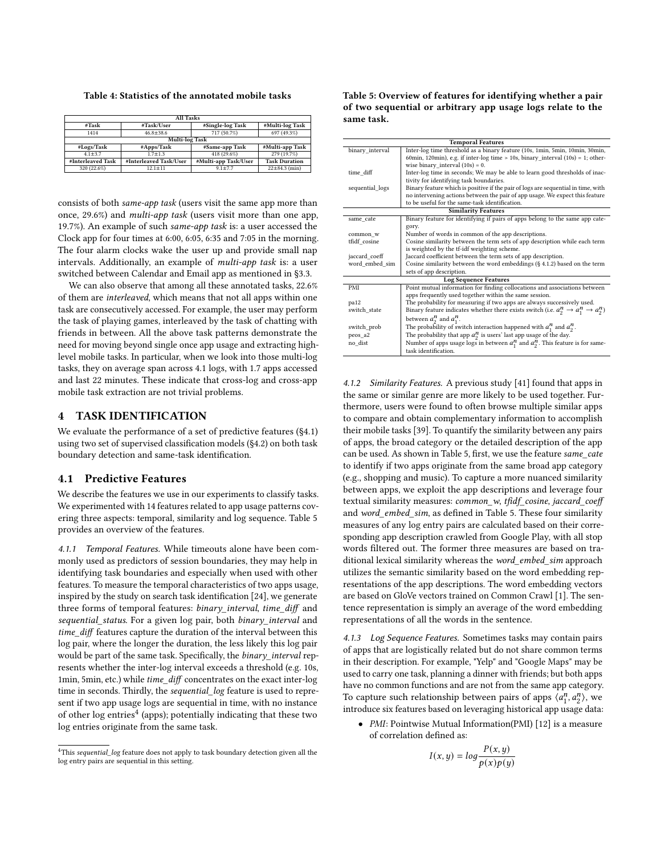<span id="page-4-0"></span>Table 4: Statistics of the annotated mobile tasks

| <b>All Tasks</b>      |                        |                      |                      |  |  |  |  |
|-----------------------|------------------------|----------------------|----------------------|--|--|--|--|
| #Task                 | #Task/User             | #Single-log Task     | #Multi-log Task      |  |  |  |  |
| 1414                  | $46.8 \pm 38.6$        | 717 (50.7%)          | 697(49.3%)           |  |  |  |  |
| <b>Multi-log Task</b> |                        |                      |                      |  |  |  |  |
| #Logs/Task            | #Apps/Task             | #Same-app Task       | #Multi-app Task      |  |  |  |  |
| $4.1 \pm 3.7$         | $1.7 + 1.3$            | 418 (29.6%)          | 279 (19.7%)          |  |  |  |  |
| #Interleaved Task     | #Interleaved Task/User | #Multi-app Task/User | <b>Task Duration</b> |  |  |  |  |
| 320 (22.6%)           | $12.1 \pm 11$          | $9.1 \pm 7.7$        | $22 \pm 84.3$ (min)  |  |  |  |  |

consists of both same-app task (users visit the same app more than once, 29.6%) and multi-app task (users visit more than one app, 19.7%). An example of such same-app task is: a user accessed the Clock app for four times at 6:00, 6:05, 6:35 and 7:05 in the morning. The four alarm clocks wake the user up and provide small nap intervals. Additionally, an example of multi-app task is: a user switched between Calendar and Email app as mentioned in §3.3.

We can also observe that among all these annotated tasks, 22.6% of them are interleaved, which means that not all apps within one task are consecutively accessed. For example, the user may perform the task of playing games, interleaved by the task of chatting with friends in between. All the above task patterns demonstrate the need for moving beyond single once app usage and extracting highlevel mobile tasks. In particular, when we look into those multi-log tasks, they on average span across 4.1 logs, with 1.7 apps accessed and last 22 minutes. These indicate that cross-log and cross-app mobile task extraction are not trivial problems.

## 4 TASK IDENTIFICATION

We evaluate the performance of a set of predictive features ([§4.1\)](#page-4-1) using two set of supervised classification models (§4.2) on both task boundary detection and same-task identification.

#### <span id="page-4-1"></span>4.1 Predictive Features

We describe the features we use in our experiments to classify tasks. We experimented with 14 features related to app usage patterns covering three aspects: temporal, similarity and log sequence. Table [5](#page-4-2) provides an overview of the features.

4.1.1 Temporal Features. While timeouts alone have been commonly used as predictors of session boundaries, they may help in identifying task boundaries and especially when used with other features. To measure the temporal characteristics of two apps usage, inspired by the study on search task identification [\[24\]](#page-9-12), we generate three forms of temporal features: binary\_interval, time\_diff and sequential\_status. For a given log pair, both binary\_interval and time\_diff features capture the duration of the interval between this log pair, where the longer the duration, the less likely this log pair would be part of the same task. Specifically, the binary\_interval represents whether the inter-log interval exceeds a threshold (e.g. 10s, 1min, 5min, etc.) while time\_diff concentrates on the exact inter-log time in seconds. Thirdly, the sequential\_log feature is used to represent if two app usage logs are sequential in time, with no instance of other log entries<sup>[4](#page-4-3)</sup> (apps); potentially indicating that these two log entries originate from the same task.

<span id="page-4-2"></span>

| Table 5: Overview of features for identifying whether a pair |
|--------------------------------------------------------------|
| of two sequential or arbitrary app usage logs relate to the  |
| same task.                                                   |

|                 | <b>Temporal Features</b>                                                                                 |
|-----------------|----------------------------------------------------------------------------------------------------------|
| binary_interval | Inter-log time threshold as a binary feature (10s, 1min, 5min, 10min, 30min,                             |
|                 | 60min, 120min), e.g. if inter-log time $> 10s$ , binary_interval (10s) = 1; other-                       |
|                 | wise binary_interval $(10s) = 0$ .                                                                       |
| time diff       | Inter-log time in seconds; We may be able to learn good thresholds of inac-                              |
|                 | tivity for identifying task boundaries.                                                                  |
| sequential_logs | Binary feature which is positive if the pair of logs are sequential in time, with                        |
|                 | no intervening actions between the pair of app usage. We expect this feature                             |
|                 | to be useful for the same-task identification.                                                           |
|                 | <b>Similarity Features</b>                                                                               |
| same_cate       | Binary feature for identifying if pairs of apps belong to the same app cate-                             |
|                 | gory.                                                                                                    |
| common_w        | Number of words in common of the app descriptions.                                                       |
| tfidf_cosine    | Cosine similarity between the term sets of app description while each term                               |
|                 | is weighted by the tf-idf weighting scheme.                                                              |
| jaccard_coeff   | Jaccard coefficient between the term sets of app description.                                            |
| word_embed_sim  | Cosine similarity between the word embeddings (§ 4.1.2) based on the term                                |
|                 | sets of app description.                                                                                 |
|                 | <b>Log Sequence Features</b>                                                                             |
| PMI             | Point mutual information for finding collocations and associations between                               |
|                 | apps frequently used together within the same session.                                                   |
| pa12            | The probability for measuring if two apps are always successively used.                                  |
| switch state    | Binary feature indicates whether there exists switch (i.e. $a_2^n \rightarrow a_1^n \rightarrow a_2^n$ ) |
|                 | between $a_2^n$ and $a_1^n$ .                                                                            |
| switch_prob     | The probability of switch interaction happened with $a_1^n$ and $a_2^n$ .                                |
| peos a2         | The probability that app $a_2^n$ is users' last app usage of the day.                                    |
| no dist         | Number of apps usage logs in between $a_1^n$ and $a_2^n$ . This feature is for same-                     |
|                 | task identification.                                                                                     |

<span id="page-4-4"></span>4.1.2 Similarity Features. A previous study [\[41\]](#page-9-31) found that apps in the same or similar genre are more likely to be used together. Furthermore, users were found to often browse multiple similar apps to compare and obtain complementary information to accomplish their mobile tasks [\[39\]](#page-9-32). To quantify the similarity between any pairs of apps, the broad category or the detailed description of the app can be used. As shown in Table [5,](#page-4-2) first, we use the feature same\_cate to identify if two apps originate from the same broad app category (e.g., shopping and music). To capture a more nuanced similarity between apps, we exploit the app descriptions and leverage four textual similarity measures: common\_w, tfidf\_cosine, jaccard\_coeff and word embed sim, as defined in Table [5.](#page-4-2) These four similarity measures of any log entry pairs are calculated based on their corresponding app description crawled from Google Play, with all stop words filtered out. The former three measures are based on traditional lexical similarity whereas the word embed sim approach utilizes the semantic similarity based on the word embedding representations of the app descriptions. The word embedding vectors are based on GloVe vectors trained on Common Crawl [\[1\]](#page-9-33). The sentence representation is simply an average of the word embedding representations of all the words in the sentence.

4.1.3 Log Sequence Features. Sometimes tasks may contain pairs of apps that are logistically related but do not share common terms in their description. For example, "Yelp" and "Google Maps" may be used to carry one task, planning a dinner with friends; but both apps have no common functions and are not from the same app category. To capture such relationship between pairs of apps  $\langle a_1^n \rangle$  $\binom{n}{1}$ ,  $a_2^n$ , we introduce six features based on leveraging historical app usage data:

• PMI: Pointwise Mutual Information(PMI) [\[12\]](#page-9-34) is a measure of correlation defined as:

$$
I(x, y) = \log \frac{P(x, y)}{p(x)p(y)}
$$

<span id="page-4-3"></span><sup>&</sup>lt;sup>4</sup>This sequential\_log feature does not apply to task boundary detection given all the log entry pairs are sequential in this setting.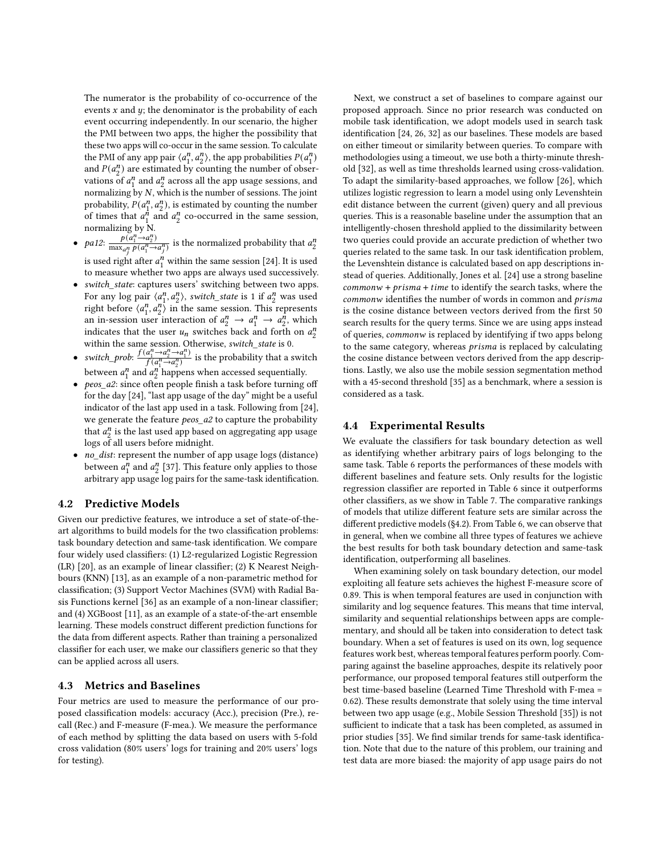The numerator is the probability of co-occurrence of the events  $x$  and  $y$ ; the denominator is the probability of each event occurring independently. In our scenario, the higher the PMI between two apps, the higher the possibility that these two apps will co-occur in the same session. To calculate the PMI of any app pair  $\langle a_1^n \rangle$  $\binom{n}{1}$ ,  $a_2^n$ ), the app probabilities  $P(a_1^n)$  $\binom{n}{1}$ and  $P(a_2^n)$  $n_2$ ) are estimated by counting the number of observations of  $a_1^n$  $\binom{n}{1}$  and  $\binom{n}{2}$  $\frac{n}{2}$  across all the app usage sessions, and normalizing by  $N$ , which is the number of sessions. The joint probability,  $P(a_1^n)$  $_1^n$ ,  $a_2^n$ ), is estimated by counting the number of times that  $a_1^{\overline{n}}$  $\int_{1}^{h}$  and  $a_2^n$  $n/2$  co-occurred in the same session, normalizing by N.

- pa12:  $\frac{p(a_1^n \rightarrow a_2^n)}{\max_p p(a_1^n \rightarrow a_2^n)}$  $\frac{p(a_1^a \rightarrow a_2^n)}{\max_{a_j^n} p(a_1^n \rightarrow a_j^n)}$  is the normalized probability that  $a_2^n$ 2 is used right after  $a_1^n$  within the same session [\[24\]](#page-9-12). It is used
	- to measure whether two apps are always used successively.
- switch\_state: captures users' switching between two apps. For any log pair  $\langle a_1^n \rangle$  $\binom{n}{1}$ ,  $a_2^n$ , switch\_state is 1 if  $a_2^n$  was used right before  $\langle a_1^n \rangle$  $\binom{n}{1}$ ,  $\binom{n}{2}$  in the same session. This represents an in-session user interaction of  $a_2^n \rightarrow a_1^n \rightarrow a_2^n$  $\frac{n}{2}$ , which indicates that the user  $u_n$  switches back and forth on  $a_2^n$ 2 within the same session. Otherwise, switch\_state is 0.
- switch\_prob:  $\frac{f(a_1^n \rightarrow a_2^n \rightarrow a_1^n)}{f(a_1^n \rightarrow a_2^n)}$  is the probability that a switch between  $a_1^n$  $\int_{1}^{n}$  and  $\int_{2}^{n}$  $n \choose 2$  happens when accessed sequentially.
- peos\_a2: since often people finish a task before turning off for the day [\[24\]](#page-9-12), "last app usage of the day" might be a useful indicator of the last app used in a task. Following from [\[24\]](#page-9-12), we generate the feature peos\_a2 to capture the probability that  $a_2^n$  $\frac{n}{2}$  is the last used app based on aggregating app usage logs of all users before midnight.
- no\_dist: represent the number of app usage logs (distance) between  $a_1^n$  $\frac{n}{1}$  and  $a_2^n$  $\frac{n}{2}$  [\[37\]](#page-9-14). This feature only applies to those arbitrary app usage log pairs for the same-task identification.

## 4.2 Predictive Models

Given our predictive features, we introduce a set of state-of-theart algorithms to build models for the two classification problems: task boundary detection and same-task identification. We compare four widely used classifiers: (1) L2-regularized Logistic Regression (LR) [\[20\]](#page-9-35), as an example of linear classifier; (2) K Nearest Neighbours (KNN) [\[13\]](#page-9-36), as an example of a non-parametric method for classification; (3) Support Vector Machines (SVM) with Radial Basis Functions kernel [\[36\]](#page-9-37) as an example of a non-linear classifier; and (4) XGBoost [\[11\]](#page-9-38), as an example of a state-of-the-art ensemble learning. These models construct different prediction functions for the data from different aspects. Rather than training a personalized classifier for each user, we make our classifiers generic so that they can be applied across all users.

#### 4.3 Metrics and Baselines

Four metrics are used to measure the performance of our proposed classification models: accuracy (Acc.), precision (Pre.), recall (Rec.) and F-measure (F-mea.). We measure the performance of each method by splitting the data based on users with 5-fold cross validation (80% users' logs for training and 20% users' logs for testing).

Next, we construct a set of baselines to compare against our proposed approach. Since no prior research was conducted on mobile task identification, we adopt models used in search task identification [\[24,](#page-9-12) [26,](#page-9-13) [32\]](#page-9-39) as our baselines. These models are based on either timeout or similarity between queries. To compare with methodologies using a timeout, we use both a thirty-minute threshold [\[32\]](#page-9-39), as well as time thresholds learned using cross-validation. To adapt the similarity-based approaches, we follow [\[26\]](#page-9-13), which utilizes logistic regression to learn a model using only Levenshtein edit distance between the current (given) query and all previous queries. This is a reasonable baseline under the assumption that an intelligently-chosen threshold applied to the dissimilarity between two queries could provide an accurate prediction of whether two queries related to the same task. In our task identification problem, the Levenshtein distance is calculated based on app descriptions instead of queries. Additionally, Jones et al. [\[24\]](#page-9-12) use a strong baseline  $commonw + prisma + time$  to identify the search tasks, where the commonw identifies the number of words in common and *prisma* is the cosine distance between vectors derived from the first 50 search results for the query terms. Since we are using apps instead of queries, commonw is replaced by identifying if two apps belong to the same category, whereas *prisma* is replaced by calculating the cosine distance between vectors derived from the app descriptions. Lastly, we also use the mobile session segmentation method with a 45-second threshold [\[35\]](#page-9-4) as a benchmark, where a session is considered as a task.

## 4.4 Experimental Results

We evaluate the classifiers for task boundary detection as well as identifying whether arbitrary pairs of logs belonging to the same task. Table [6](#page-6-0) reports the performances of these models with different baselines and feature sets. Only results for the logistic regression classifier are reported in Table [6](#page-6-0) since it outperforms other classifiers, as we show in Table [7.](#page-6-1) The comparative rankings of models that utilize different feature sets are similar across the different predictive models (§4.2). From Table [6,](#page-6-0) we can observe that in general, when we combine all three types of features we achieve the best results for both task boundary detection and same-task identification, outperforming all baselines.

When examining solely on task boundary detection, our model exploiting all feature sets achieves the highest F-measure score of 0.89. This is when temporal features are used in conjunction with similarity and log sequence features. This means that time interval, similarity and sequential relationships between apps are complementary, and should all be taken into consideration to detect task boundary. When a set of features is used on its own, log sequence features work best, whereas temporal features perform poorly. Comparing against the baseline approaches, despite its relatively poor performance, our proposed temporal features still outperform the best time-based baseline (Learned Time Threshold with F-mea = 0.62). These results demonstrate that solely using the time interval between two app usage (e.g., Mobile Session Threshold [\[35\]](#page-9-4)) is not sufficient to indicate that a task has been completed, as assumed in prior studies [\[35\]](#page-9-4). We find similar trends for same-task identification. Note that due to the nature of this problem, our training and test data are more biased: the majority of app usage pairs do not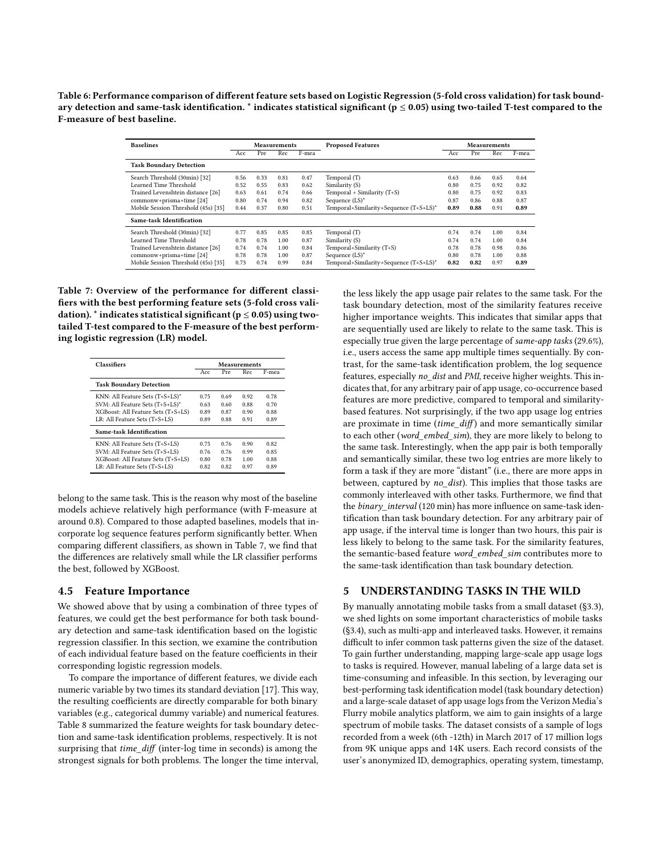<span id="page-6-0"></span>Table 6: Performance comparison of different feature sets based on Logistic Regression (5-fold cross validation) for task boundary detection and same-task identification.  $*$  indicates statistical significant ( $p \le 0.05$ ) using two-tailed T-test compared to the F-measure of best baseline.

| <b>Baselines</b>                    | <b>Measurements</b> |      |      | <b>Proposed Features</b> |                                        | <b>Measurements</b> |      |      |       |
|-------------------------------------|---------------------|------|------|--------------------------|----------------------------------------|---------------------|------|------|-------|
|                                     | Acc                 | Pre  | Rec  | F-mea                    |                                        | Acc                 | Pre  | Rec  | F-mea |
| <b>Task Boundary Detection</b>      |                     |      |      |                          |                                        |                     |      |      |       |
| Search Threshold (30min) [32]       | 0.56                | 0.33 | 0.81 | 0.47                     | Temporal (T)                           | 0.63                | 0.66 | 0.65 | 0.64  |
| Learned Time Threshold              | 0.52                | 0.55 | 0.83 | 0.62                     | Similarity (S)                         | 0.80                | 0.75 | 0.92 | 0.82  |
| Trained Levenshtein distance [26]   | 0.63                | 0.61 | 0.74 | 0.66                     | Temporal + Similarity (T+S)            | 0.80                | 0.75 | 0.92 | 0.83  |
| commonw+prisma+time [24]            | 0.80                | 0.74 | 0.94 | 0.82                     | Sequence $(LS)^*$                      | 0.87                | 0.86 | 0.88 | 0.87  |
| Mobile Session Threshold (45s) [35] | 0.44                | 0.37 | 0.80 | 0.51                     | Temporal+Similarity+Sequence (T+S+LS)* | 0.89                | 0.88 | 0.91 | 0.89  |
| Same-task Identification            |                     |      |      |                          |                                        |                     |      |      |       |
| Search Threshold (30min) [32]       | 0.77                | 0.85 | 0.85 | 0.85                     | Temporal (T)                           | 0.74                | 0.74 | 1.00 | 0.84  |
| Learned Time Threshold              | 0.78                | 0.78 | 1.00 | 0.87                     | Similarity (S)                         | 0.74                | 0.74 | 1.00 | 0.84  |
| Trained Levenshtein distance [26]   | 0.74                | 0.74 | 1.00 | 0.84                     | Temporal+Similarity (T+S)              | 0.78                | 0.78 | 0.98 | 0.86  |
| commonw+prisma+time [24]            | 0.78                | 0.78 | 1.00 | 0.87                     | Sequence $(LS)^*$                      | 0.80                | 0.78 | 1.00 | 0.88  |
| Mobile Session Threshold (45s) [35] | 0.73                | 0.74 | 0.99 | 0.84                     | Temporal+Similarity+Sequence (T+S+LS)* | 0.82                | 0.82 | 0.97 | 0.89  |

<span id="page-6-1"></span>Table 7: Overview of the performance for different classifiers with the best performing feature sets (5-fold cross validation). \* indicates statistical significant ( $p \le 0.05$ ) using twotailed T-test compared to the F-measure of the best performing logistic regression (LR) model.

| <b>Classifiers</b>                 | Measurements |      |      |       |
|------------------------------------|--------------|------|------|-------|
|                                    | Acc.         | Pre  | Rec  | F-mea |
| <b>Task Boundary Detection</b>     |              |      |      |       |
| KNN: All Feature Sets $(T+S+LS)^*$ | 0.75         | 0.69 | 0.92 | 0.78  |
| SVM: All Feature Sets (T+S+LS)*    | 0.63         | 0.60 | 0.88 | 0.70  |
| XGBoost: All Feature Sets (T+S+LS) | 0.89         | 0.87 | 0.90 | 0.88  |
| LR: All Feature Sets (T+S+LS)      | 0.89         | 0.88 | 0.91 | 0.89  |
| Same-task Identification           |              |      |      |       |
| KNN: All Feature Sets (T+S+LS)     | 0.75         | 0.76 | 0.90 | 0.82  |
| SVM: All Feature Sets (T+S+LS)     | 0.76         | 0.76 | 0.99 | 0.85  |
| XGBoost: All Feature Sets (T+S+LS) | 0.80         | 0.78 | 1.00 | 0.88  |
| LR: All Feature Sets (T+S+LS)      | 0.82         | 0.82 | 0.97 | 0.89  |

belong to the same task. This is the reason why most of the baseline models achieve relatively high performance (with F-measure at around 0.8). Compared to those adapted baselines, models that incorporate log sequence features perform significantly better. When comparing different classifiers, as shown in Table [7,](#page-6-1) we find that the differences are relatively small while the LR classifier performs the best, followed by XGBoost.

#### 4.5 Feature Importance

We showed above that by using a combination of three types of features, we could get the best performance for both task boundary detection and same-task identification based on the logistic regression classifier. In this section, we examine the contribution of each individual feature based on the feature coefficients in their corresponding logistic regression models.

To compare the importance of different features, we divide each numeric variable by two times its standard deviation [\[17\]](#page-9-40). This way, the resulting coefficients are directly comparable for both binary variables (e.g., categorical dummy variable) and numerical features. Table [8](#page-7-0) summarized the feature weights for task boundary detection and same-task identification problems, respectively. It is not surprising that time\_diff (inter-log time in seconds) is among the strongest signals for both problems. The longer the time interval,

the less likely the app usage pair relates to the same task. For the task boundary detection, most of the similarity features receive higher importance weights. This indicates that similar apps that are sequentially used are likely to relate to the same task. This is especially true given the large percentage of same-app tasks (29.6%), i.e., users access the same app multiple times sequentially. By contrast, for the same-task identification problem, the log sequence features, especially no\_dist and PMI, receive higher weights. This indicates that, for any arbitrary pair of app usage, co-occurrence based features are more predictive, compared to temporal and similaritybased features. Not surprisingly, if the two app usage log entries are proximate in time  $(time\_diff)$  and more semantically similar to each other (word\_embed\_sim), they are more likely to belong to the same task. Interestingly, when the app pair is both temporally and semantically similar, these two log entries are more likely to form a task if they are more "distant" (i.e., there are more apps in between, captured by no\_dist). This implies that those tasks are commonly interleaved with other tasks. Furthermore, we find that the binary interval (120 min) has more influence on same-task identification than task boundary detection. For any arbitrary pair of app usage, if the interval time is longer than two hours, this pair is less likely to belong to the same task. For the similarity features, the semantic-based feature word\_embed\_sim contributes more to the same-task identification than task boundary detection.

#### 5 UNDERSTANDING TASKS IN THE WILD

By manually annotating mobile tasks from a small dataset (§3.3), we shed lights on some important characteristics of mobile tasks (§3.4), such as multi-app and interleaved tasks. However, it remains difficult to infer common task patterns given the size of the dataset. To gain further understanding, mapping large-scale app usage logs to tasks is required. However, manual labeling of a large data set is time-consuming and infeasible. In this section, by leveraging our best-performing task identification model (task boundary detection) and a large-scale dataset of app usage logs from the Verizon Media's Flurry mobile analytics platform, we aim to gain insights of a large spectrum of mobile tasks. The dataset consists of a sample of logs recorded from a week (6th -12th) in March 2017 of 17 million logs from 9K unique apps and 14K users. Each record consists of the user's anonymized ID, demographics, operating system, timestamp,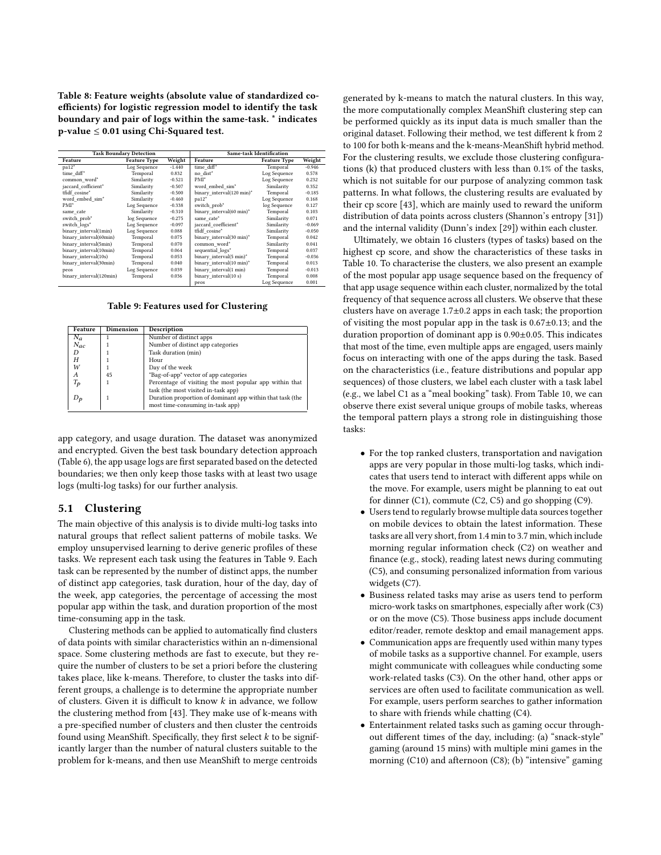<span id="page-7-0"></span>Table 8: Feature weights (absolute value of standardized coefficients) for logistic regression model to identify the task boundary and pair of logs within the same-task. \* indicates p-value ≤ 0.01 using Chi-Squared test.

|                         | <b>Task Boundary Detection</b> |          | <b>Same-task Identification</b> |                     |          |  |
|-------------------------|--------------------------------|----------|---------------------------------|---------------------|----------|--|
| Feature                 | Feature Type                   | Weight   | Feature                         | <b>Feature Type</b> | Weight   |  |
| pa12"                   | Log Sequence                   | $-1.440$ | time diff*                      | Temporal            | $-0.946$ |  |
| time diff*              | Temporal                       | 0.832    | no dist*                        | Log Sequence        | 0.578    |  |
| common word*            | Similarity                     | $-0.521$ | PMI <sup>*</sup>                | Log Sequence        | 0.232    |  |
| jaccard cofficient*     | Similarity                     | $-0.507$ | word embed sim*                 | Similarity          | 0.352    |  |
| tfidf cosine*           | Similarity                     | $-0.500$ | binary interval(120 min)*       | Temporal            | $-0.185$ |  |
| word embed sim*         | Similarity                     | $-0.460$ | $pa12*$                         | Log Sequence        | 0.168    |  |
| PMI <sup>*</sup>        | Log Sequence                   | $-0.338$ | switch prob*                    | log Sequence        | 0.127    |  |
| same cate               | Similarity                     | $-0.310$ | binary interval(60 min)*        | Temporal            | 0.103    |  |
| switch prob*            | log Sequence                   | $-0.275$ | same cate*                      | Similarity          | 0.071    |  |
| switch logs*            | Log Sequence                   | $-0.097$ | jaccard coefficient*            | Similarity          | $-0.069$ |  |
| binary interval(1min)   | Log Sequence                   | 0.088    | tfidf cosine*                   | Similarity          | $-0.050$ |  |
| binary interval(60min)  | Temporal                       | 0.075    | binary interval(30 min)*        | Temporal            | 0.042    |  |
| binary interval(5min)   | Temporal                       | 0.070    | common word*                    | Similarity          | 0.041    |  |
| binary interval(10min)  | Temporal                       | 0.064    | sequential logs*                | Temporal            | 0.037    |  |
| binary interval(10s)    | Temporal                       | 0.053    | binary interval(5 min)*         | Temporal            | $-0.036$ |  |
| binary interval(30min)  | Temporal                       | 0.040    | binary interval(10 min)*        | Temporal            | 0.013    |  |
| peos                    | Log Sequence                   | 0.039    | binary interval(1 min)          | Temporal            | $-0.013$ |  |
| binary interval(120min) | Temporal                       | 0.036    | binary interval(10 s)           | Temporal            | 0.008    |  |
|                         |                                |          | peos                            | Log Sequence        | 0.001    |  |

Table 9: Features used for Clustering

<span id="page-7-1"></span>

| Feature                        | Dimension | Description                                               |
|--------------------------------|-----------|-----------------------------------------------------------|
| $N_a$                          |           | Number of distinct apps                                   |
| $N_{ac}$                       |           | Number of distinct app categories                         |
| D                              |           | Task duration (min)                                       |
| Н                              |           | Hour                                                      |
| W                              |           | Day of the week                                           |
| А                              | 45        | "Bag-of-app" vector of app categories                     |
| $T_{\boldsymbol{\mathcal{p}}}$ |           | Percentage of visiting the most popular app within that   |
|                                |           | task (the most visited in-task app)                       |
| D <sub>n</sub>                 |           | Duration proportion of dominant app within that task (the |
|                                |           | most time-consuming in-task app)                          |

app category, and usage duration. The dataset was anonymized and encrypted. Given the best task boundary detection approach (Table [6\)](#page-6-0), the app usage logs are first separated based on the detected boundaries; we then only keep those tasks with at least two usage logs (multi-log tasks) for our further analysis.

#### 5.1 Clustering

The main objective of this analysis is to divide multi-log tasks into natural groups that reflect salient patterns of mobile tasks. We employ unsupervised learning to derive generic profiles of these tasks. We represent each task using the features in Table [9.](#page-7-1) Each task can be represented by the number of distinct apps, the number of distinct app categories, task duration, hour of the day, day of the week, app categories, the percentage of accessing the most popular app within the task, and duration proportion of the most time-consuming app in the task.

Clustering methods can be applied to automatically find clusters of data points with similar characteristics within an n-dimensional space. Some clustering methods are fast to execute, but they require the number of clusters to be set a priori before the clustering takes place, like k-means. Therefore, to cluster the tasks into different groups, a challenge is to determine the appropriate number of clusters. Given it is difficult to know  $k$  in advance, we follow the clustering method from [\[43\]](#page-9-7). They make use of k-means with a pre-specified number of clusters and then cluster the centroids found using MeanShift. Specifically, they first select  $k$  to be significantly larger than the number of natural clusters suitable to the problem for k-means, and then use MeanShift to merge centroids

generated by k-means to match the natural clusters. In this way, the more computationally complex MeanShift clustering step can be performed quickly as its input data is much smaller than the original dataset. Following their method, we test different k from 2 to 100 for both k-means and the k-means-MeanShift hybrid method. For the clustering results, we exclude those clustering configurations (k) that produced clusters with less than 0.1% of the tasks, which is not suitable for our purpose of analyzing common task patterns. In what follows, the clustering results are evaluated by their cp score [\[43\]](#page-9-7), which are mainly used to reward the uniform distribution of data points across clusters (Shannon's entropy [\[31\]](#page-9-41)) and the internal validity (Dunn's index [\[29\]](#page-9-42)) within each cluster.

Ultimately, we obtain 16 clusters (types of tasks) based on the highest cp score, and show the characteristics of these tasks in Table [10.](#page-8-0) To characterise the clusters, we also present an example of the most popular app usage sequence based on the frequency of that app usage sequence within each cluster, normalized by the total frequency of that sequence across all clusters. We observe that these clusters have on average  $1.7\pm0.2$  apps in each task; the proportion of visiting the most popular app in the task is 0.67±0.13; and the duration proportion of dominant app is 0.90±0.05. This indicates that most of the time, even multiple apps are engaged, users mainly focus on interacting with one of the apps during the task. Based on the characteristics (i.e., feature distributions and popular app sequences) of those clusters, we label each cluster with a task label (e.g., we label C1 as a "meal booking" task). From Table [10,](#page-8-0) we can observe there exist several unique groups of mobile tasks, whereas the temporal pattern plays a strong role in distinguishing those tasks:

- For the top ranked clusters, transportation and navigation apps are very popular in those multi-log tasks, which indicates that users tend to interact with different apps while on the move. For example, users might be planning to eat out for dinner (C1), commute (C2, C5) and go shopping (C9).
- Users tend to regularly browse multiple data sources together on mobile devices to obtain the latest information. These tasks are all very short, from 1.4 min to 3.7 min, which include morning regular information check (C2) on weather and finance (e.g., stock), reading latest news during commuting (C5), and consuming personalized information from various widgets (C7).
- Business related tasks may arise as users tend to perform micro-work tasks on smartphones, especially after work (C3) or on the move (C5). Those business apps include document editor/reader, remote desktop and email management apps.
- Communication apps are frequently used within many types of mobile tasks as a supportive channel. For example, users might communicate with colleagues while conducting some work-related tasks (C3). On the other hand, other apps or services are often used to facilitate communication as well. For example, users perform searches to gather information to share with friends while chatting (C4).
- Entertainment related tasks such as gaming occur throughout different times of the day, including: (a) "snack-style" gaming (around 15 mins) with multiple mini games in the morning (C10) and afternoon (C8); (b) "intensive" gaming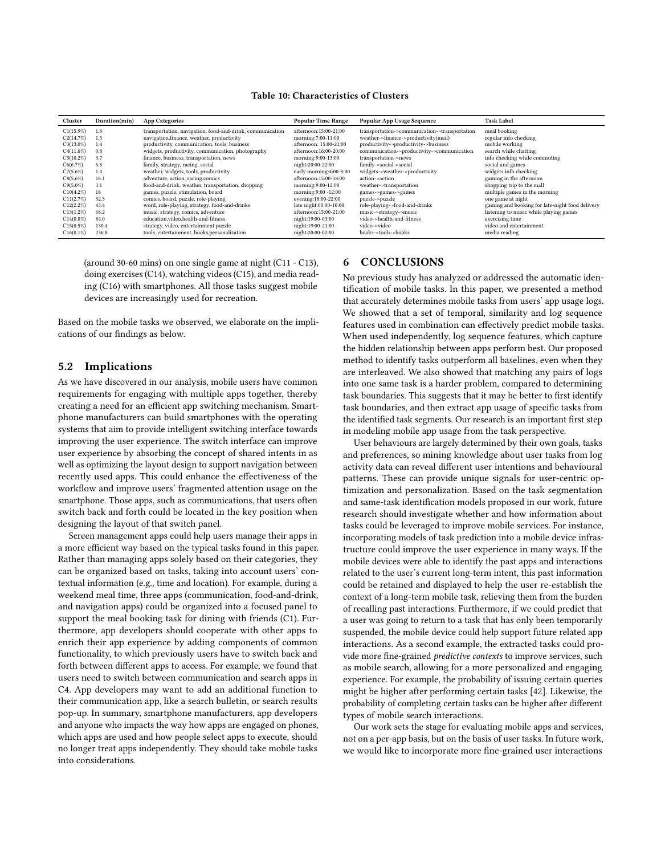<span id="page-8-0"></span>

| Cluster      | Duration(min) | <b>App Categories</b>                                     | <b>Popular Time Range</b> | Popular App Usage Sequence                    | <b>Task Label</b>                               |
|--------------|---------------|-----------------------------------------------------------|---------------------------|-----------------------------------------------|-------------------------------------------------|
| C1(15.9%)    | 1.8           | transportation, navigation, food-and-drink, communication | afternoon:15:00-21:00     | transportation->communication->transportation | meal booking                                    |
| C2(14.7%)    | 1.5           | navigation, finance, weather, productivity                | morning:7:00-11:00        | weather->finance->productivity(mail)          | regular info checking                           |
| $C3(13.0\%)$ | 1.4           | productivity, communication, tools, business              | afternoon: 15:00-21:00    | productivity->productivity->business          | mobile working                                  |
| C4(11.6%)    | 0.8           | widgets, productivity, communication, photography         | afternoon:16:00-20:00     | communication->productivity->communication    | search while chatting                           |
| C5(10.2%)    | 3.7           | finance, business, transportation, news                   | morning:9:00-13:00        | transportation->news                          | info checking while commuting                   |
| C6(6.7%)     | 6.8           | family, strategy, racing, social                          | night:20:00-22:00         | family->social->social                        | social and games                                |
| C7(5.6%)     | 1.4           | weather, widgets, tools, productivity                     | early morning:4:00-8:00   | widgets->weather->productivity                | widgets info checking                           |
| C8(5.6%)     | 16.1          | adventure, action, racing, comics                         | afternoon:15:00-18:00     | action->action                                | gaming in the afternoon                         |
| $C9(5.0\%)$  | 3.1           | food-and-drink, weather, transportation, shopping         | morning:9:00-12:00        | weather->transportation                       | shopping trip to the mall                       |
| C10(4.2%)    | 18            | games, puzzle, stimulation, board                         | morning:9:00 -12:00       | games->games->games                           | multiple games in the morning                   |
| C11(2.7%)    | 32.3          | comics, board, puzzle, role-playing                       | evening:18:00-22:00       | puzzle->puzzle                                | one game at night                               |
| C12(2.2%     | 43.4          | word, role-playing, strategy, food-and-drinks             | late night:00:00-10:00    | role-playing->food-and-drinks                 | gaming and booking for late-night food delivery |
| C13(1.2%)    | 68.2          | music, strategy, comics, adventure                        | afternoon:15:00-21:00     | music->strategy->music                        | listening to music while playing games          |
| $C14(0.8\%)$ | 84.0          | education, video, health-and-fitness                      | night:19:00-03:00         | video->health-and-fitness                     | exercising time                                 |
| C15(0.5%)    | 130.4         | strategy, video, entertainment puzzle                     | night:19:00-21:00         | video->video                                  | video and entertainment                         |
| C16(0.1%)    | 236.8         | tools, entertainment, books, personalization              | night:20:00-02:00         | books->tools->books                           | media reading                                   |

## Table 10: Characteristics of Clusters

(around 30-60 mins) on one single game at night (C11 - C13), doing exercises (C14), watching videos (C15), and media reading (C16) with smartphones. All those tasks suggest mobile devices are increasingly used for recreation.

Based on the mobile tasks we observed, we elaborate on the implications of our findings as below.

#### 5.2 Implications

As we have discovered in our analysis, mobile users have common requirements for engaging with multiple apps together, thereby creating a need for an efficient app switching mechanism. Smartphone manufacturers can build smartphones with the operating systems that aim to provide intelligent switching interface towards improving the user experience. The switch interface can improve user experience by absorbing the concept of shared intents in as well as optimizing the layout design to support navigation between recently used apps. This could enhance the effectiveness of the workflow and improve users' fragmented attention usage on the smartphone. Those apps, such as communications, that users often switch back and forth could be located in the key position when designing the layout of that switch panel.

Screen management apps could help users manage their apps in a more efficient way based on the typical tasks found in this paper. Rather than managing apps solely based on their categories, they can be organized based on tasks, taking into account users' contextual information (e.g., time and location). For example, during a weekend meal time, three apps (communication, food-and-drink, and navigation apps) could be organized into a focused panel to support the meal booking task for dining with friends (C1). Furthermore, app developers should cooperate with other apps to enrich their app experience by adding components of common functionality, to which previously users have to switch back and forth between different apps to access. For example, we found that users need to switch between communication and search apps in C4. App developers may want to add an additional function to their communication app, like a search bulletin, or search results pop-up. In summary, smartphone manufacturers, app developers and anyone who impacts the way how apps are engaged on phones, which apps are used and how people select apps to execute, should no longer treat apps independently. They should take mobile tasks into considerations.

# 6 CONCLUSIONS

No previous study has analyzed or addressed the automatic identification of mobile tasks. In this paper, we presented a method that accurately determines mobile tasks from users' app usage logs. We showed that a set of temporal, similarity and log sequence features used in combination can effectively predict mobile tasks. When used independently, log sequence features, which capture the hidden relationship between apps perform best. Our proposed method to identify tasks outperform all baselines, even when they are interleaved. We also showed that matching any pairs of logs into one same task is a harder problem, compared to determining task boundaries. This suggests that it may be better to first identify task boundaries, and then extract app usage of specific tasks from the identified task segments. Our research is an important first step in modeling mobile app usage from the task perspective.

User behaviours are largely determined by their own goals, tasks and preferences, so mining knowledge about user tasks from log activity data can reveal different user intentions and behavioural patterns. These can provide unique signals for user-centric optimization and personalization. Based on the task segmentation and same-task identification models proposed in our work, future research should investigate whether and how information about tasks could be leveraged to improve mobile services. For instance, incorporating models of task prediction into a mobile device infrastructure could improve the user experience in many ways. If the mobile devices were able to identify the past apps and interactions related to the user's current long-term intent, this past information could be retained and displayed to help the user re-establish the context of a long-term mobile task, relieving them from the burden of recalling past interactions. Furthermore, if we could predict that a user was going to return to a task that has only been temporarily suspended, the mobile device could help support future related app interactions. As a second example, the extracted tasks could provide more fine-grained predictive contexts to improve services, such as mobile search, allowing for a more personalized and engaging experience. For example, the probability of issuing certain queries might be higher after performing certain tasks [\[42\]](#page-9-43). Likewise, the probability of completing certain tasks can be higher after different types of mobile search interactions.

Our work sets the stage for evaluating mobile apps and services, not on a per-app basis, but on the basis of user tasks. In future work, we would like to incorporate more fine-grained user interactions